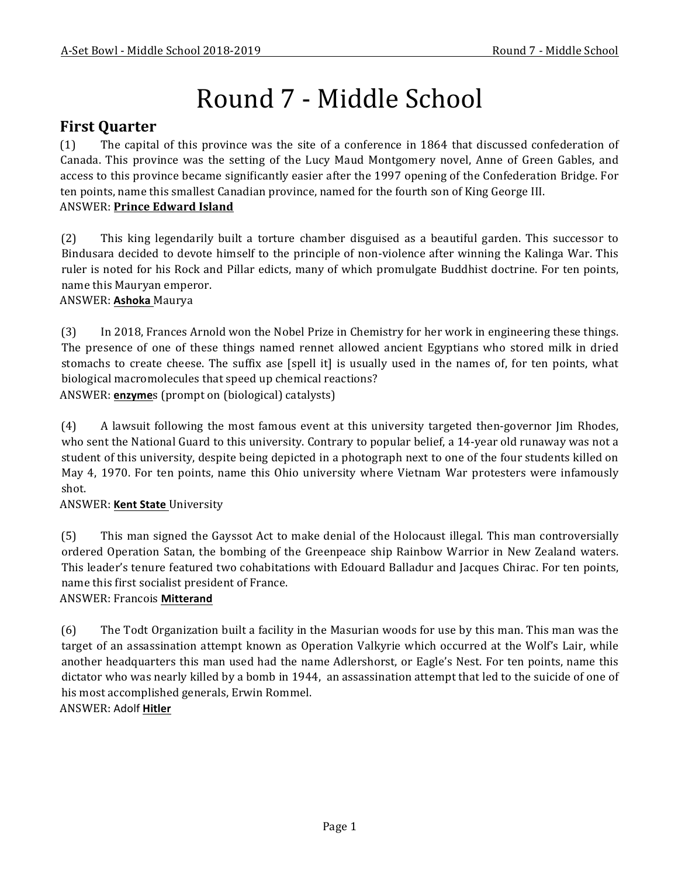# Round 7 - Middle School

# **First Quarter**

(1) The capital of this province was the site of a conference in 1864 that discussed confederation of Canada. This province was the setting of the Lucy Maud Montgomery novel, Anne of Green Gables, and access to this province became significantly easier after the 1997 opening of the Confederation Bridge. For ten points, name this smallest Canadian province, named for the fourth son of King George III. **ANSWER: Prince Edward Island** 

(2) This king legendarily built a torture chamber disguised as a beautiful garden. This successor to Bindusara decided to devote himself to the principle of non-violence after winning the Kalinga War. This ruler is noted for his Rock and Pillar edicts, many of which promulgate Buddhist doctrine. For ten points, name this Mauryan emperor.

# ANSWER: **Ashoka** Maurya

(3) In 2018, Frances Arnold won the Nobel Prize in Chemistry for her work in engineering these things. The presence of one of these things named rennet allowed ancient Egyptians who stored milk in dried stomachs to create cheese. The suffix ase [spell it] is usually used in the names of, for ten points, what biological macromolecules that speed up chemical reactions?

ANSWER: **enzyme**s (prompt on (biological) catalysts)

(4) A lawsuit following the most famous event at this university targeted then-governor Jim Rhodes, who sent the National Guard to this university. Contrary to popular belief, a 14-year old runaway was not a student of this university, despite being depicted in a photograph next to one of the four students killed on May 4, 1970. For ten points, name this Ohio university where Vietnam War protesters were infamously shot.

# ANSWER: **Kent State** University

(5) This man signed the Gayssot Act to make denial of the Holocaust illegal. This man controversially ordered Operation Satan, the bombing of the Greenpeace ship Rainbow Warrior in New Zealand waters. This leader's tenure featured two cohabitations with Edouard Balladur and Jacques Chirac. For ten points, name this first socialist president of France.

# ANSWER: Francois **Mitterand**

(6) The Todt Organization built a facility in the Masurian woods for use by this man. This man was the target of an assassination attempt known as Operation Valkyrie which occurred at the Wolf's Lair, while another headquarters this man used had the name Adlershorst, or Eagle's Nest. For ten points, name this dictator who was nearly killed by a bomb in 1944, an assassination attempt that led to the suicide of one of his most accomplished generals, Erwin Rommel.

ANSWER: Adolf **Hitler**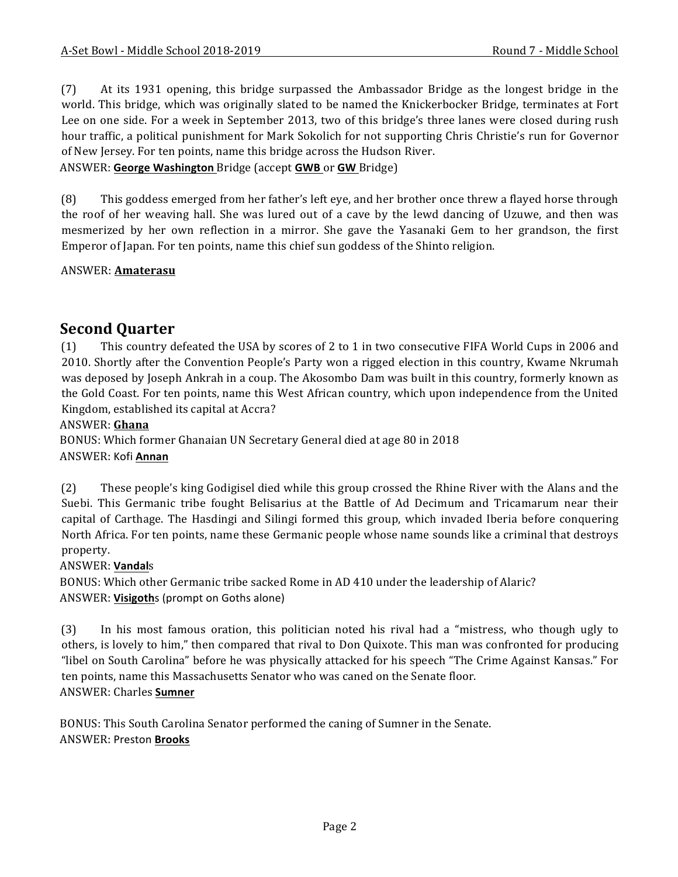(7) At its 1931 opening, this bridge surpassed the Ambassador Bridge as the longest bridge in the world. This bridge, which was originally slated to be named the Knickerbocker Bridge, terminates at Fort Lee on one side. For a week in September 2013, two of this bridge's three lanes were closed during rush hour traffic, a political punishment for Mark Sokolich for not supporting Chris Christie's run for Governor of New Jersey. For ten points, name this bridge across the Hudson River.

ANSWER: George Washington Bridge (accept GWB or GW Bridge)

(8) This goddess emerged from her father's left eye, and her brother once threw a flayed horse through the roof of her weaving hall. She was lured out of a cave by the lewd dancing of Uzuwe, and then was mesmerized by her own reflection in a mirror. She gave the Yasanaki Gem to her grandson, the first Emperor of Japan. For ten points, name this chief sun goddess of the Shinto religion.

#### ANSWER: **Amaterasu**

# **Second Quarter**

(1) This country defeated the USA by scores of 2 to 1 in two consecutive FIFA World Cups in 2006 and 2010. Shortly after the Convention People's Party won a rigged election in this country, Kwame Nkrumah was deposed by Joseph Ankrah in a coup. The Akosombo Dam was built in this country, formerly known as the Gold Coast. For ten points, name this West African country, which upon independence from the United Kingdom, established its capital at Accra?

#### ANSWER: **Ghana**

BONUS: Which former Ghanaian UN Secretary General died at age 80 in 2018 ANSWER: Kofi **Annan**

(2) These people's king Godigisel died while this group crossed the Rhine River with the Alans and the Suebi. This Germanic tribe fought Belisarius at the Battle of Ad Decimum and Tricamarum near their capital of Carthage. The Hasdingi and Silingi formed this group, which invaded Iberia before conquering North Africa. For ten points, name these Germanic people whose name sounds like a criminal that destroys property.

#### ANSWER: **Vandal**s

BONUS: Which other Germanic tribe sacked Rome in AD 410 under the leadership of Alaric? ANSWER: **Visigoth**s (prompt on Goths alone)

(3) In his most famous oration, this politician noted his rival had a "mistress, who though ugly to others, is lovely to him," then compared that rival to Don Quixote. This man was confronted for producing "libel on South Carolina" before he was physically attacked for his speech "The Crime Against Kansas." For ten points, name this Massachusetts Senator who was caned on the Senate floor. ANSWER: Charles **Sumner**

BONUS: This South Carolina Senator performed the caning of Sumner in the Senate. ANSWER: Preston **Brooks**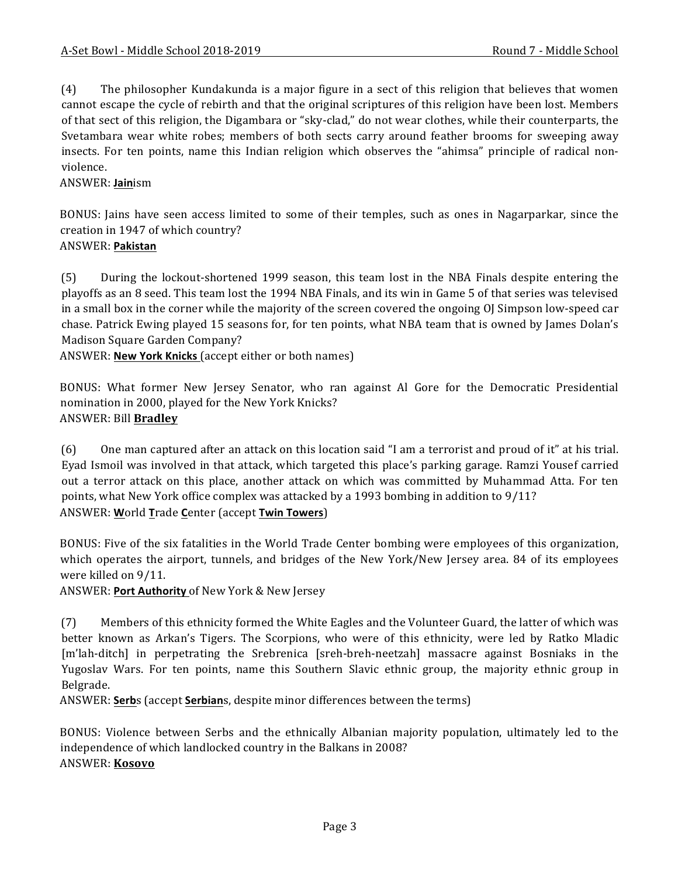(4) The philosopher Kundakunda is a major figure in a sect of this religion that believes that women cannot escape the cycle of rebirth and that the original scriptures of this religion have been lost. Members of that sect of this religion, the Digambara or "sky-clad," do not wear clothes, while their counterparts, the Svetambara wear white robes; members of both sects carry around feather brooms for sweeping away insects. For ten points, name this Indian religion which observes the "ahimsa" principle of radical nonviolence.

ANSWER: **Jain**ism

BONUS: Jains have seen access limited to some of their temples, such as ones in Nagarparkar, since the creation in 1947 of which country?

#### ANSWER: **Pakistan**

(5) During the lockout-shortened 1999 season, this team lost in the NBA Finals despite entering the playoffs as an 8 seed. This team lost the 1994 NBA Finals, and its win in Game 5 of that series was televised in a small box in the corner while the majority of the screen covered the ongoing OJ Simpson low-speed car chase. Patrick Ewing played 15 seasons for, for ten points, what NBA team that is owned by James Dolan's Madison Square Garden Company?

ANSWER: **New York Knicks** (accept either or both names)

BONUS: What former New Jersey Senator, who ran against Al Gore for the Democratic Presidential nomination in 2000, played for the New York Knicks? ANSWER: Bill **Bradley**

(6) One man captured after an attack on this location said "I am a terrorist and proud of it" at his trial. Eyad Ismoil was involved in that attack, which targeted this place's parking garage. Ramzi Yousef carried out a terror attack on this place, another attack on which was committed by Muhammad Atta. For ten points, what New York office complex was attacked by a 1993 bombing in addition to  $9/11$ ? ANSWER: **W**orld **T**rade **C**enter (accept **Twin Towers**)

BONUS: Five of the six fatalities in the World Trade Center bombing were employees of this organization, which operates the airport, tunnels, and bridges of the New York/New Jersey area. 84 of its employees were killed on  $9/11$ .

ANSWER: Port Authority of New York & New Jersey

(7) Members of this ethnicity formed the White Eagles and the Volunteer Guard, the latter of which was better known as Arkan's Tigers. The Scorpions, who were of this ethnicity, were led by Ratko Mladic [m'lah-ditch] in perpetrating the Srebrenica [sreh-breh-neetzah] massacre against Bosniaks in the Yugoslav Wars. For ten points, name this Southern Slavic ethnic group, the majority ethnic group in Belgrade.

ANSWER: Serbs (accept Serbians, despite minor differences between the terms)

BONUS: Violence between Serbs and the ethnically Albanian majority population, ultimately led to the independence of which landlocked country in the Balkans in 2008? ANSWER: **Kosovo**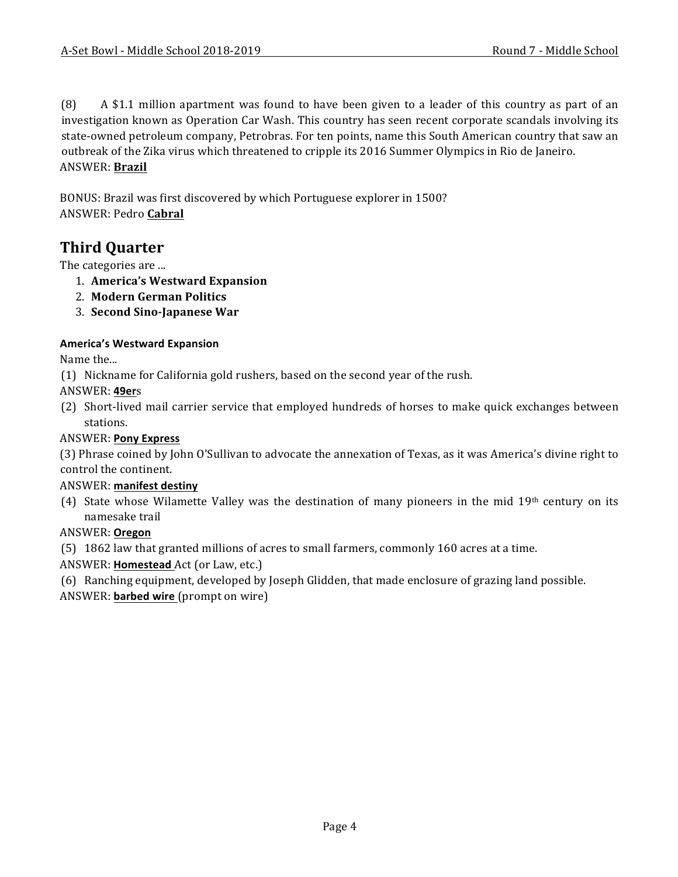$(8)$  A \$1.1 million apartment was found to have been given to a leader of this country as part of an investigation known as Operation Car Wash. This country has seen recent corporate scandals involving its state-owned petroleum company, Petrobras. For ten points, name this South American country that saw an outbreak of the Zika virus which threatened to cripple its 2016 Summer Olympics in Rio de Janeiro. ANSWER: **Brazil**

BONUS: Brazil was first discovered by which Portuguese explorer in 1500? ANSWER: Pedro **Cabral**

# **Third Quarter**

The categories are ...

- 1. **America's Westward Expansion**
- 2. **Modern German Politics**
- 3. **Second Sino-Japanese War**

#### **America's Westward Expansion**

Name the...

(1) Nickname for California gold rushers, based on the second year of the rush.

ANSWER: **49er**s

(2) Short-lived mail carrier service that employed hundreds of horses to make quick exchanges between stations.

#### ANSWER: **Pony Express**

(3) Phrase coined by John O'Sullivan to advocate the annexation of Texas, as it was America's divine right to control the continent.

#### ANSWER: **manifest destiny**

(4) State whose Wilamette Valley was the destination of many pioneers in the mid 19th century on its namesake trail

#### ANSWER: **Oregon**

(5) 1862 law that granted millions of acres to small farmers, commonly 160 acres at a time.

ANSWER: **Homestead** Act (or Law, etc.)

(6) Ranching equipment, developed by Joseph Glidden, that made enclosure of grazing land possible.

ANSWER: **barbed wire** (prompt on wire)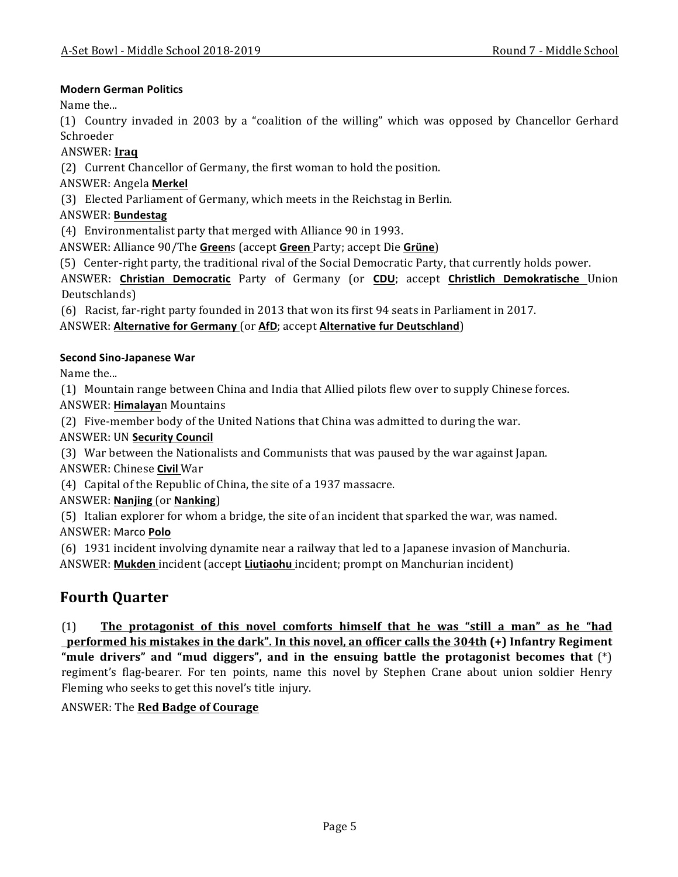#### **Modern German Politics**

Name the...

(1) Country invaded in 2003 by a "coalition of the willing" which was opposed by Chancellor Gerhard Schroeder

#### ANSWER: **Iraq**

(2) Current Chancellor of Germany, the first woman to hold the position.

ANSWER: Angela **Merkel**

(3) Elected Parliament of Germany, which meets in the Reichstag in Berlin.

# ANSWER: **Bundestag**

(4) Environmentalist party that merged with Alliance 90 in 1993.

ANSWER: Alliance 90/The Greens (accept Green Party; accept Die Grüne)

(5) Center-right party, the traditional rival of the Social Democratic Party, that currently holds power.

ANSWER: **Christian Democratic** Party of Germany (or **CDU**; accept **Christlich Demokratische**  Union Deutschlands)

(6) Racist, far-right party founded in 2013 that won its first 94 seats in Parliament in 2017.

# ANSWER: Alternative for Germany (or AfD; accept Alternative fur Deutschland)

# **Second Sino-Japanese War**

Name the...

(1) Mountain range between China and India that Allied pilots flew over to supply Chinese forces.

ANSWER: **Himalaya**n Mountains

(2) Five-member body of the United Nations that China was admitted to during the war.

**ANSWER: UN Security Council** 

(3) War between the Nationalists and Communists that was paused by the war against Japan. ANSWER: Chinese **Civil** War

 $(4)$  Capital of the Republic of China, the site of a 1937 massacre.

ANSWER: **Nanjing** (or **Nanking**)

(5) Italian explorer for whom a bridge, the site of an incident that sparked the war, was named.

ANSWER: Marco **Polo**

(6) 1931 incident involving dynamite near a railway that led to a Japanese invasion of Manchuria.

ANSWER: **Mukden** incident (accept **Liutiaohu** incident; prompt on Manchurian incident)

# **Fourth Quarter**

(1) The protagonist of this novel comforts himself that he was "still a man" as he "had **<u>performed his mistakes in the dark". In this novel, an officer calls the 304th</u> (+) Infantry Regiment** "mule drivers" and "mud diggers", and in the ensuing battle the protagonist becomes that (\*) regiment's flag-bearer. For ten points, name this novel by Stephen Crane about union soldier Henry Fleming who seeks to get this novel's title injury.

# ANSWER: The **Red Badge of Courage**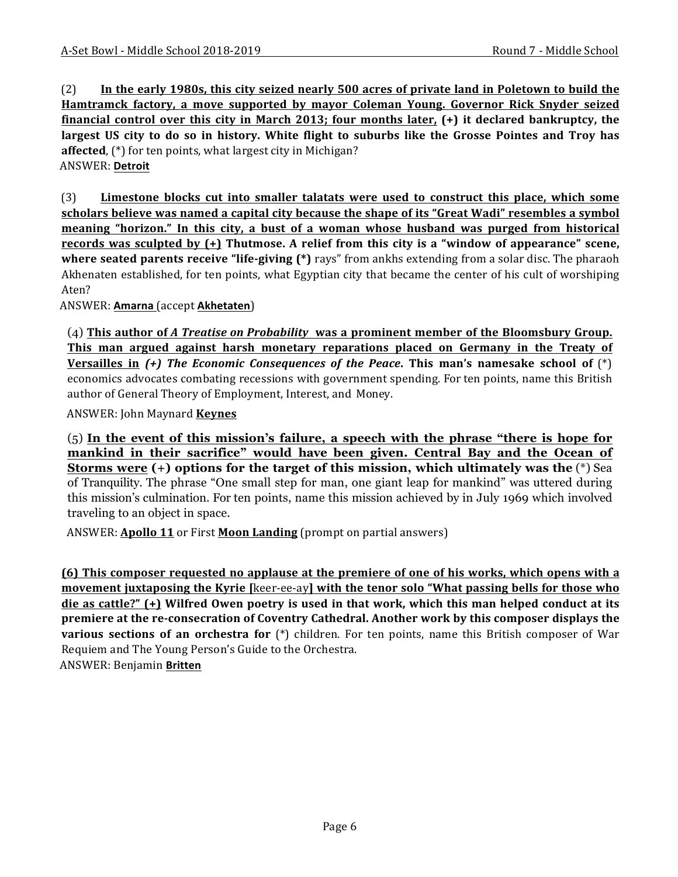(2) In the early 1980s, this city seized nearly 500 acres of private land in Poletown to build the **Hamtramck factory, a move supported by mayor Coleman Young. Governor Rick Snyder seized financial control over this city in March 2013; four months later, (+) it declared bankruptcy, the** largest US city to do so in history. White flight to suburbs like the Grosse Pointes and Troy has **affected**, (\*) for ten points, what largest city in Michigan? ANSWER: **Detroit**

(3) Limestone blocks cut into smaller talatats were used to construct this place, which some scholars believe was named a capital city because the shape of its "Great Wadi" resembles a symbol **meaning "horizon."** In this city, a bust of a woman whose husband was purged from historical **records** was sculpted by  $(+)$  Thutmose. A relief from this city is a "window of appearance" scene, **where seated parents receive "life-giving (\*)** rays" from ankhs extending from a solar disc. The pharaoh Akhenaten established, for ten points, what Egyptian city that became the center of his cult of worshiping Aten?

ANSWER: **Amarna** (accept **Akhetaten**)

(4) This author of *A* Treatise on Probability was a prominent member of the Bloomsbury Group. **This** man argued against harsh monetary reparations placed on Germany in the Treaty of **<u>Versailles in</u>** (+) The *Economic Consequences of the Peace*. This man's namesake school of (\*) economics advocates combating recessions with government spending. For ten points, name this British author of General Theory of Employment, Interest, and Money.

ANSWER: John Maynard **Keynes** 

(5) **In the event of this mission's failure, a speech with the phrase "there is hope for mankind in their sacrifice" would have been given. Central Bay and the Ocean of Storms were (+) options for the target of this mission, which ultimately was the** (\*) Sea of Tranquility. The phrase "One small step for man, one giant leap for mankind" was uttered during this mission's culmination. For ten points, name this mission achieved by in July 1969 which involved traveling to an object in space.

ANSWER: **Apollo 11** or First **Moon Landing** (prompt on partial answers)

**(6)** This composer requested no applause at the premiere of one of his works, which opens with a **movement juxtaposing the Kyrie [keer-ee-ay] with the tenor solo "What passing bells for those who die** as cattle?" (+) Wilfred Owen poetry is used in that work, which this man helped conduct at its **premiere at the re-consecration of Coventry Cathedral. Another work by this composer displays the various sections of an orchestra for** (\*) children. For ten points, name this British composer of War Requiem and The Young Person's Guide to the Orchestra.

ANSWER: Benjamin **Britten**